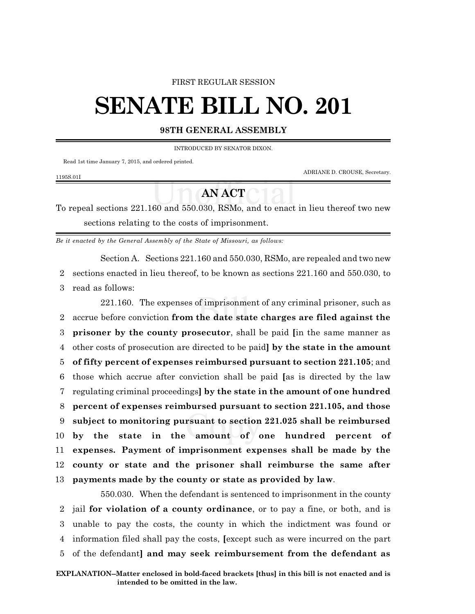## FIRST REGULAR SESSION

# **SENATE BILL NO. 201**

## **98TH GENERAL ASSEMBLY**

INTRODUCED BY SENATOR DIXON.

Read 1st time January 7, 2015, and ordered printed.

ADRIANE D. CROUSE, Secretary.

### 1195S.01I

# **AN ACT**

To repeal sections 221.160 and 550.030, RSMo, and to enact in lieu thereof two new sections relating to the costs of imprisonment.

*Be it enacted by the General Assembly of the State of Missouri, as follows:*

Section A. Sections 221.160 and 550.030, RSMo, are repealed and two new

2 sections enacted in lieu thereof, to be known as sections 221.160 and 550.030, to 3 read as follows:

221.160. The expenses of imprisonment of any criminal prisoner, such as accrue before conviction **from the date state charges are filed against the prisoner by the county prosecutor**, shall be paid **[**in the same manner as other costs of prosecution are directed to be paid**] by the state in the amount of fifty percent of expenses reimbursed pursuant to section 221.105**; and those which accrue after conviction shall be paid **[**as is directed by the law regulating criminal proceedings**] by the state in the amount of one hundred percent of expenses reimbursed pursuant to section 221.105, and those subject to monitoring pursuant to section 221.025 shall be reimbursed by the state in the amount of one hundred percent of expenses. Payment of imprisonment expenses shall be made by the county or state and the prisoner shall reimburse the same after payments made by the county or state as provided by law**.

550.030. When the defendant is sentenced to imprisonment in the county jail **for violation of a county ordinance**, or to pay a fine, or both, and is unable to pay the costs, the county in which the indictment was found or information filed shall pay the costs, **[**except such as were incurred on the part of the defendant**] and may seek reimbursement from the defendant as**